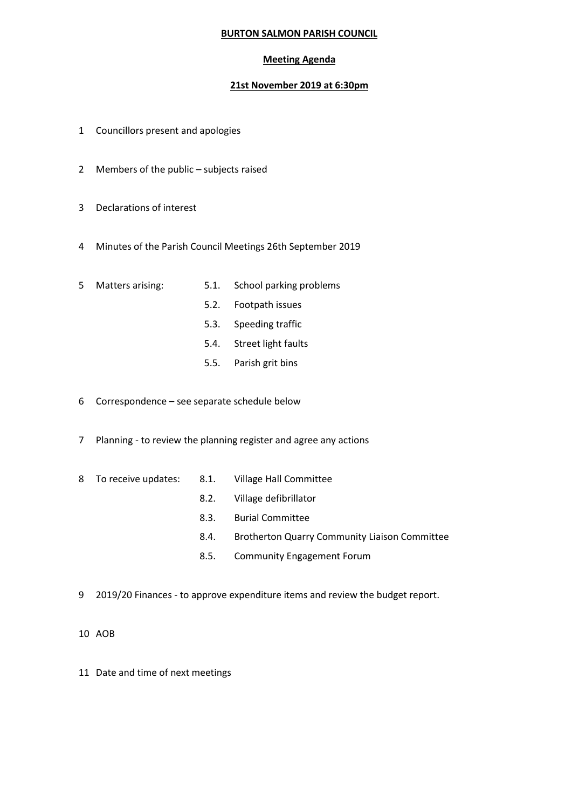## **BURTON SALMON PARISH COUNCIL**

## **Meeting Agenda**

## **21st November 2019 at 6:30pm**

- 1 Councillors present and apologies
- 2 Members of the public subjects raised
- 3 Declarations of interest
- 4 Minutes of the Parish Council Meetings 26th September 2019
- 5 Matters arising: 5.1. School parking problems
	-
	- 5.2. Footpath issues
	- 5.3. Speeding traffic
	- 5.4. Street light faults
	- 5.5. Parish grit bins
- 6 Correspondence see separate schedule below
- 7 Planning to review the planning register and agree any actions
- 8 To receive updates: 8.1. Village Hall Committee
	- 8.2. Village defibrillator
	- 8.3. Burial Committee
	- 8.4. Brotherton Quarry Community Liaison Committee
	- 8.5. Community Engagement Forum
- 9 2019/20 Finances to approve expenditure items and review the budget report.
- 10 AOB
- 11 Date and time of next meetings